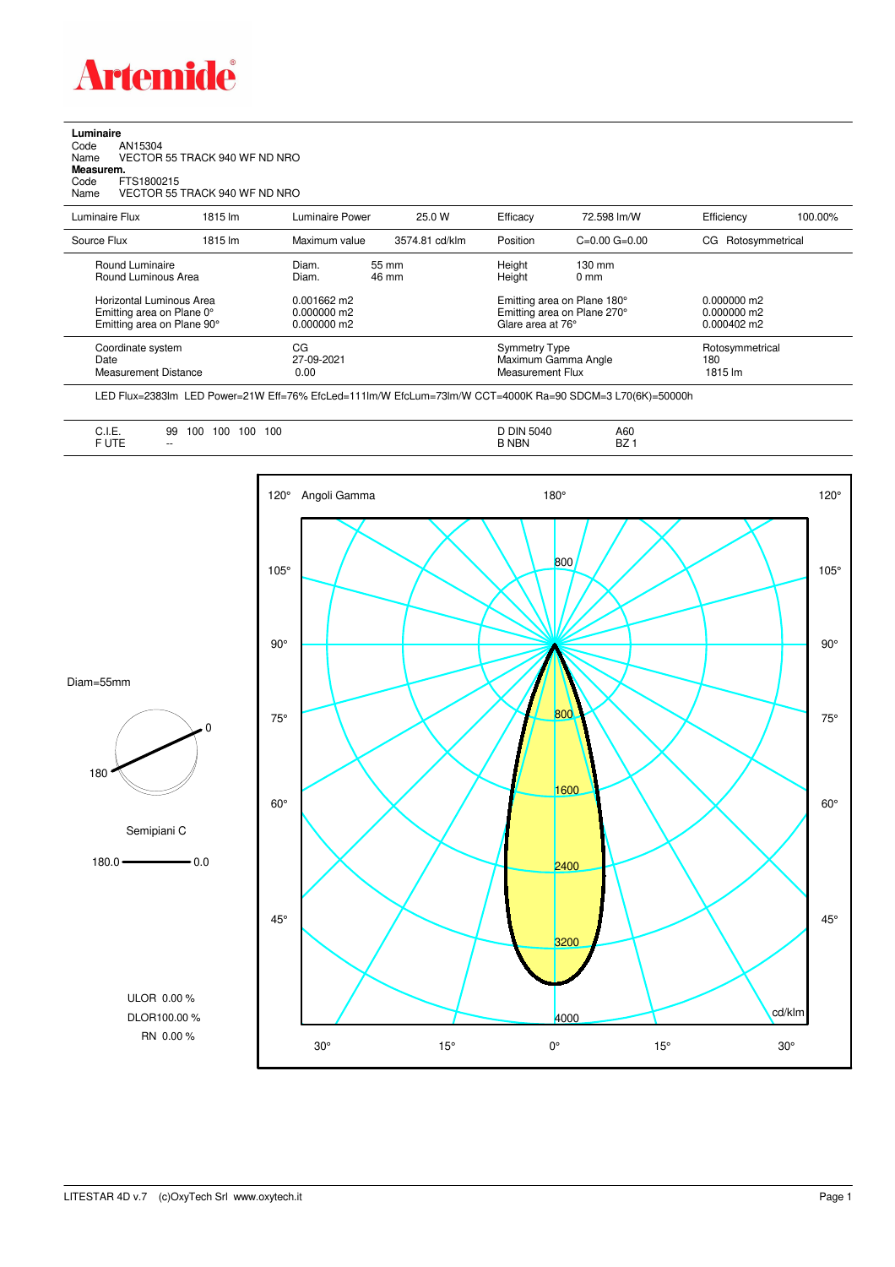

## **Luminaire**

| Code      | AN15304                       |
|-----------|-------------------------------|
| Name      | VECTOR 55 TRACK 940 WF ND NRO |
| Measurem. |                               |
| Code      | FTS1800215                    |
| Name      | VECTOR 55 TRACK 940 WF ND NRO |
|           |                               |

| Luminaire Flux                                                                                                                | 1815 lm | Luminaire Power                                                   | 25.0 W         | Efficacy                                 | 72.598 lm/W                                                                                      | Efficiency                                             | 100.00% |
|-------------------------------------------------------------------------------------------------------------------------------|---------|-------------------------------------------------------------------|----------------|------------------------------------------|--------------------------------------------------------------------------------------------------|--------------------------------------------------------|---------|
| Source Flux                                                                                                                   | 1815 lm | Maximum value                                                     | 3574.81 cd/klm | Position                                 | $C=0.00$ $G=0.00$                                                                                | CG Rotosymmetrical                                     |         |
| Round Luminaire<br>Round Luminous Area<br>Horizontal Luminous Area<br>Emitting area on Plane 0°<br>Emitting area on Plane 90° |         | Diam.<br>Diam.<br>$0.001662$ m2<br>$0.000000$ m2<br>$0.000000$ m2 | 55 mm<br>46 mm | Height<br>Height<br>Glare area at 76°    | $130 \text{ mm}$<br>$0 \text{ mm}$<br>Emitting area on Plane 180°<br>Emitting area on Plane 270° | $0.000000$ m2<br>$0.000000$ m2<br>$0.000402 \text{ m}$ |         |
| Coordinate system<br>Date<br><b>Measurement Distance</b>                                                                      |         | CG<br>27-09-2021<br>0.00                                          |                | <b>Symmetry Type</b><br>Measurement Flux | Maximum Gamma Angle                                                                              | Rotosymmetrical<br>180<br>1815 lm                      |         |

LED Flux=2383lm LED Power=21W Eff=76% EfcLed=111lm/W EfcLum=73lm/W CCT=4000K Ra=90 SDCM=3 L70(6K)=50000h